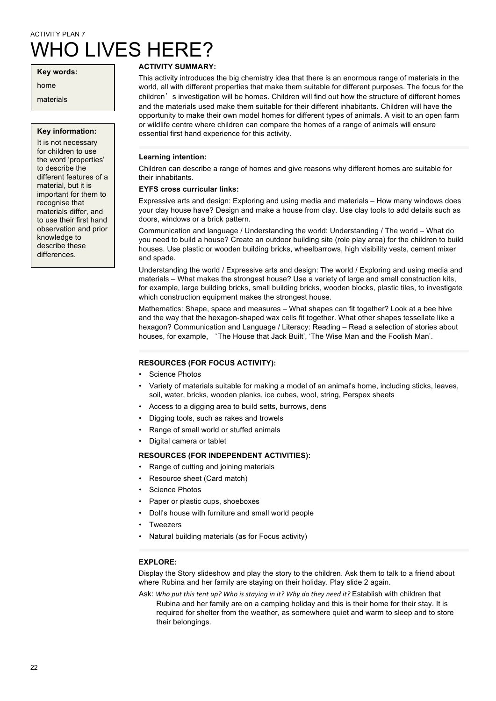# ACTIVITY PLAN 7 WHO LIVES HERE?

**Key words:**

home

materials

#### **Key information:**

It is not necessary for children to use the word 'properties' to describe the different features of a material, but it is important for them to recognise that materials differ, and to use their first hand observation and prior knowledge to describe these differences.

# **ACTIVITY SUMMARY:**

This activity introduces the big chemistry idea that there is an enormous range of materials in the world, all with different properties that make them suitable for different purposes. The focus for the children's investigation will be homes. Children will find out how the structure of different homes and the materials used make them suitable for their different inhabitants. Children will have the opportunity to make their own model homes for different types of animals. A visit to an open farm or wildlife centre where children can compare the homes of a range of animals will ensure essential first hand experience for this activity.

## **Learning intention:**

Children can describe a range of homes and give reasons why different homes are suitable for their inhabitants.

## **EYFS cross curricular links:**

Expressive arts and design: Exploring and using media and materials – How many windows does your clay house have? Design and make a house from clay. Use clay tools to add details such as doors, windows or a brick pattern.

Communication and language / Understanding the world: Understanding / The world – What do you need to build a house? Create an outdoor building site (role play area) for the children to build houses. Use plastic or wooden building bricks, wheelbarrows, high visibility vests, cement mixer and spade.

Understanding the world / Expressive arts and design: The world / Exploring and using media and materials – What makes the strongest house? Use a variety of large and small construction kits, for example, large building bricks, small building bricks, wooden blocks, plastic tiles, to investigate which construction equipment makes the strongest house.

Mathematics: Shape, space and measures – What shapes can fit together? Look at a bee hive and the way that the hexagon-shaped wax cells fit together. What other shapes tessellate like a hexagon? Communication and Language / Literacy: Reading – Read a selection of stories about houses, for example, 'The House that Jack Built', 'The Wise Man and the Foolish Man'.

## **RESOURCES (FOR FOCUS ACTIVITY):**

- Science Photos
- Variety of materials suitable for making a model of an animal's home, including sticks, leaves, soil, water, bricks, wooden planks, ice cubes, wool, string, Perspex sheets
- Access to a digging area to build setts, burrows, dens
- Digging tools, such as rakes and trowels
- Range of small world or stuffed animals
- Digital camera or tablet

## **RESOURCES (FOR INDEPENDENT ACTIVITIES):**

- Range of cutting and joining materials
- Resource sheet (Card match)
- Science Photos
- Paper or plastic cups, shoeboxes
- Doll's house with furniture and small world people
- **Tweezers**
- Natural building materials (as for Focus activity)

## **EXPLORE:**

Display the Story slideshow and play the story to the children. Ask them to talk to a friend about where Rubina and her family are staying on their holiday. Play slide 2 again.

Ask: Who put this tent up? Who is staying in it? Why do they need it? Establish with children that Rubina and her family are on a camping holiday and this is their home for their stay. It is required for shelter from the weather, as somewhere quiet and warm to sleep and to store their belongings.